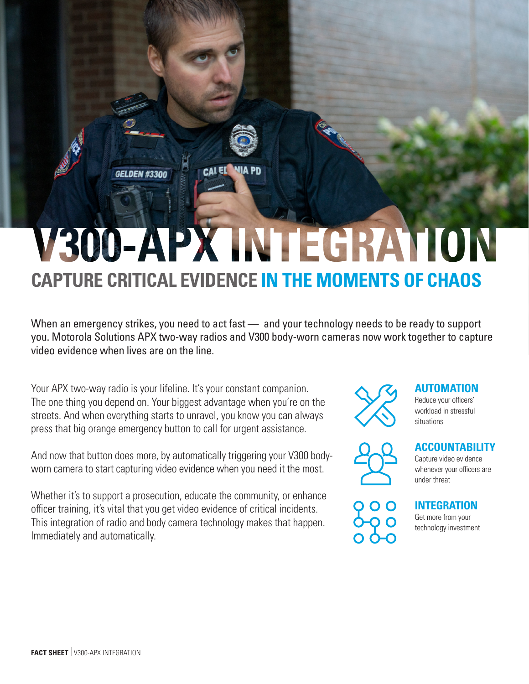# V300-APX INTEGRATION **CAPTURE CRITICAL EVIDENCE IN THE MOMENTS OF CHAOS**

**CALED** 

**DEN #3300** 

When an emergency strikes, you need to act fast — and your technology needs to be ready to support you. Motorola Solutions APX two-way radios and V300 body-worn cameras now work together to capture video evidence when lives are on the line.

Your APX two-way radio is your lifeline. It's your constant companion. The one thing you depend on. Your biggest advantage when you're on the streets. And when everything starts to unravel, you know you can always press that big orange emergency button to call for urgent assistance.

And now that button does more, by automatically triggering your V300 bodyworn camera to start capturing video evidence when you need it the most.

Whether it's to support a prosecution, educate the community, or enhance officer training, it's vital that you get video evidence of critical incidents. This integration of radio and body camera technology makes that happen. Immediately and automatically.



## **AUTOMATION**

Reduce your officers' workload in stressful situations

# **ACCOUNTABILITY**

Capture video evidence whenever your officers are under threat



**INTEGRATION** Get more from your

technology investment